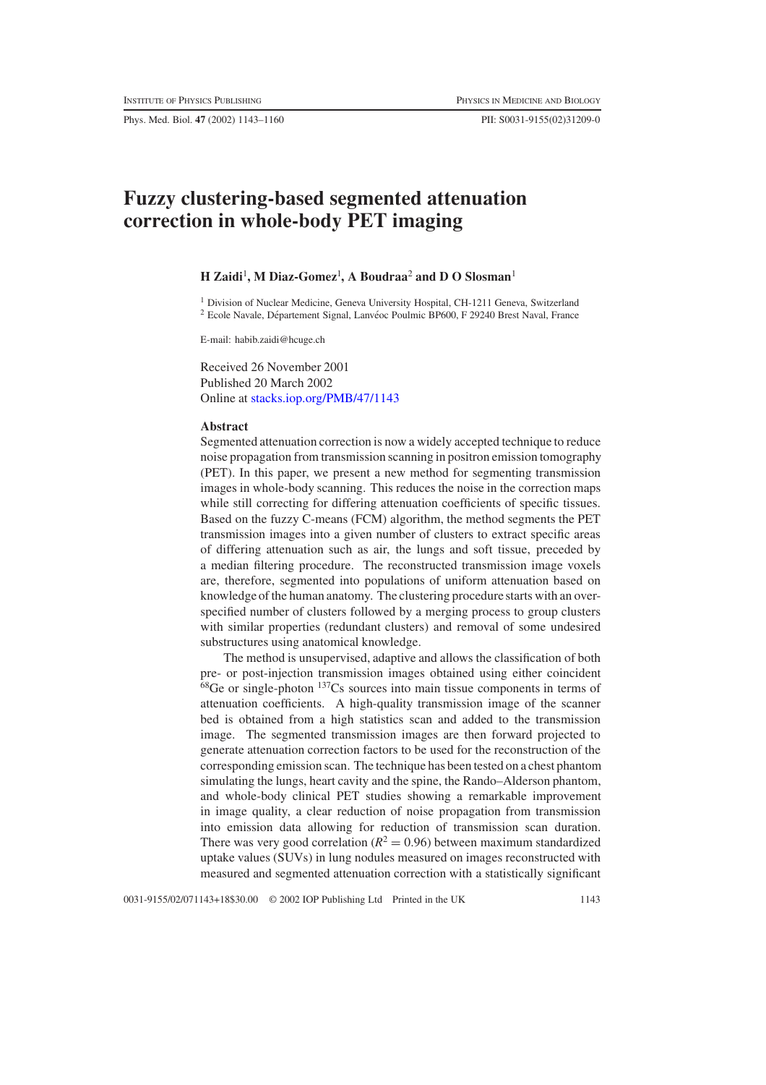Phys. Med. Biol. **47** (2002) 1143–1160 PII: S0031-9155(02)31209-0

# **Fuzzy clustering-based segmented attenuation correction in whole-body PET imaging**

# **H** Zaidi<sup>1</sup>, M Diaz-Gomez<sup>1</sup>, A Boudraa<sup>2</sup> and D O Slosman<sup>1</sup>

<sup>1</sup> Division of Nuclear Medicine, Geneva University Hospital, CH-1211 Geneva, Switzerland  $2$  Ecole Navale, Département Signal, Lanvéoc Poulmic BP600, F 29240 Brest Naval, France

E-mail: habib.zaidi@hcuge.ch

Received 26 November 2001 Published 20 March 2002 Online at [stacks.iop.org/PMB/47/1143](http://stacks.iop.org/pb/47/1143)

#### **Abstract**

Segmented attenuation correction is now a widely accepted technique to reduce noise propagation from transmission scanning in positron emission tomography (PET). In this paper, we present a new method for segmenting transmission images in whole-body scanning. This reduces the noise in the correction maps while still correcting for differing attenuation coefficients of specific tissues. Based on the fuzzy C-means (FCM) algorithm, the method segments the PET transmission images into a given number of clusters to extract specific areas of differing attenuation such as air, the lungs and soft tissue, preceded by a median filtering procedure. The reconstructed transmission image voxels are, therefore, segmented into populations of uniform attenuation based on knowledge of the human anatomy. The clustering procedure starts with an overspecified number of clusters followed by a merging process to group clusters with similar properties (redundant clusters) and removal of some undesired substructures using anatomical knowledge.

The method is unsupervised, adaptive and allows the classification of both pre- or post-injection transmission images obtained using either coincident  $68$ Ge or single-photon  $137$ Cs sources into main tissue components in terms of attenuation coefficients. A high-quality transmission image of the scanner bed is obtained from a high statistics scan and added to the transmission image. The segmented transmission images are then forward projected to generate attenuation correction factors to be used for the reconstruction of the corresponding emission scan. The technique has been tested on a chest phantom simulating the lungs, heart cavity and the spine, the Rando–Alderson phantom, and whole-body clinical PET studies showing a remarkable improvement in image quality, a clear reduction of noise propagation from transmission into emission data allowing for reduction of transmission scan duration. There was very good correlation  $(R^2 = 0.96)$  between maximum standardized uptake values (SUVs) in lung nodules measured on images reconstructed with measured and segmented attenuation correction with a statistically significant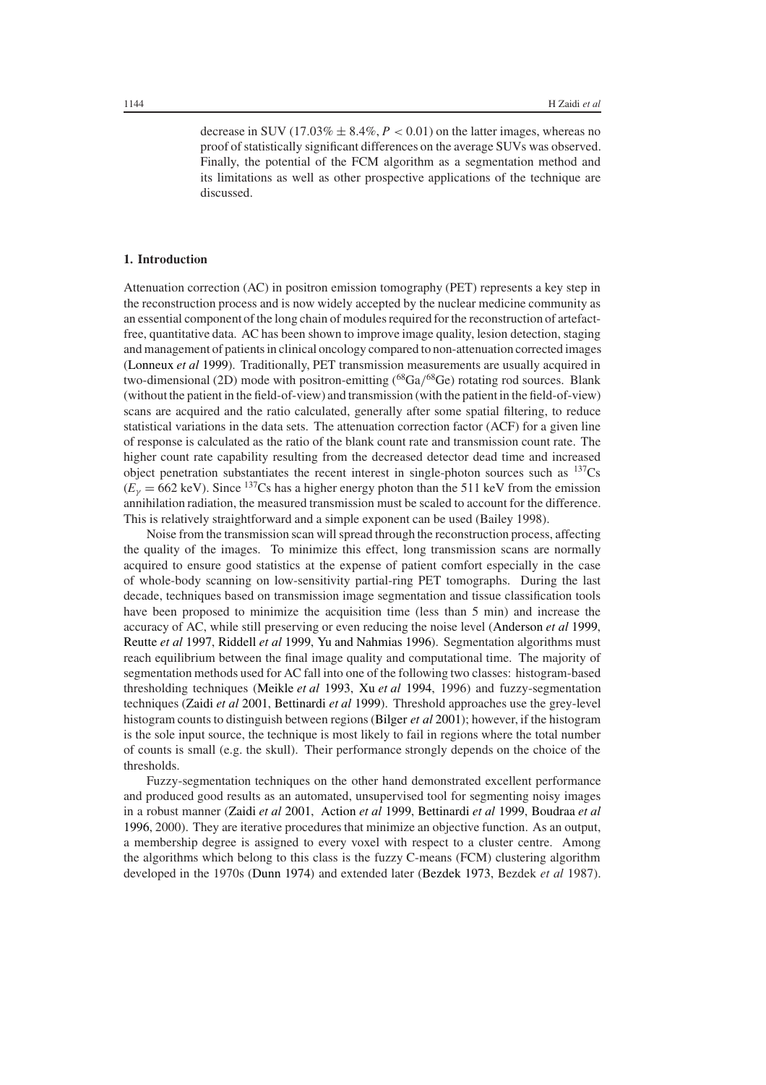decrease in SUV (17.03%  $\pm$  8.4%,  $P < 0.01$ ) on the latter images, whereas no proof of statistically significant differences on the average SUVs was observed. Finally, the potential of the FCM algorithm as a segmentation method and its limitations as well as other prospective applications of the technique are discussed.

## **1. Introduction**

Attenuation correction (AC) in positron emission tomography (PET) represents a key step in the reconstruction process and is now widely accepted by the nuclear medicine community as an essential component of the long chain of modules required for the reconstruction of artefactfree, quantitative data. AC has been shown to improve image quality, lesion detection, staging and management of patients in clinical oncology compared to non-attenuation corrected images [\(Lonneux](#page-16-0) *et al* [1999](#page-16-0)). Traditionally, PET transmission measurements are usually acquired in two-dimensional (2D) mode with positron-emitting (<sup>68</sup>Ga/<sup>68</sup>Ge) rotating rod sources. Blank (without the patient in the field-of-view) and transmission (with the patient in the field-of-view) scans are acquired and the ratio calculated, generally after some spatial filtering, to reduce statistical variations in the data sets. The attenuation correction factor (ACF) for a given line of response is calculated as the ratio of the blank count rate and transmission count rate. The higher count rate capability resulting from the decreased detector dead time and increased object penetration substantiates the recent interest in single-photon sources such as  $^{137}Cs$  $(E<sub>\gamma</sub> = 662 \text{ keV})$ . Since <sup>137</sup>Cs has a higher energy photon than the 511 keV from the emission annihilation radiation, the measured transmission must be scaled to account for the difference. This is relatively straightforward and a simple exponent can be used (Bailey 1998).

Noise from the transmission scan will spread through the reconstruction process, affecting the quality of the images. To minimize this effect, long transmission scans are normally acquired to ensure good statistics at the expense of patient comfort especially in the case of whole-body scanning on low-sensitivity partial-ring PET tomographs. During the last decade, techniques based on transmission image segmentation and tissue classification tools have been proposed to minimize the acquisition time (less than 5 min) and increase the accuracy of AC, while still preserving or even reducing the noise level [\(Anderson](#page-16-1) *et al* [1999](#page-16-1), [Reutte](#page-17-0) *et al* [1997,](#page-17-0) [Riddell](#page-17-1) *et al* [1999,](#page-17-1) [Yu and Nahmias 1996\)](#page-17-2). Segmentation algorithms must reach equilibrium between the final image quality and computational time. The majority of segmentation methods used for AC fall into one of the following two classes: histogram-based thresholding techniques [\(Meikle](#page-16-2) *et al* [1993](#page-16-2), Xu *[et al](#page-17-3)* [1994,](#page-17-3) 1996) and fuzzy-segmentation techniques [\(Zaidi](#page-17-4) *et al* [2001](#page-17-4), [Bettinardi](#page-16-3) *et al* [1999\)](#page-16-3). Threshold approaches use the grey-level histogram counts to distinguish between regions [\(Bilger](#page-16-4) *et al* [2001](#page-16-4)); however, if the histogram is the sole input source, the technique is most likely to fail in regions where the total number of counts is small (e.g. the skull). Their performance strongly depends on the choice of the thresholds.

Fuzzy-segmentation techniques on the other hand demonstrated excellent performance and produced good results as an automated, unsupervised tool for segmenting noisy images in a robust manner [\(Zaidi](#page-17-4) *et al* [2001,](#page-17-4) [Action](#page-16-5) *et al* [1999,](#page-16-5) [Bettinardi](#page-16-3) *et al* [1999,](#page-16-3) [Boudraa](#page-16-6) *et al* [1996,](#page-16-6) 2000). They are iterative procedures that minimize an objective function. As an output, a membership degree is assigned to every voxel with respect to a cluster centre. Among the algorithms which belong to this class is the fuzzy C -means (FCM) clustering algorithm developed in the 1970s [\(Dunn 1974](#page-16-7)) and extended later [\(Bezdek 1973](#page-16-8), Bezdek *et al* 1987).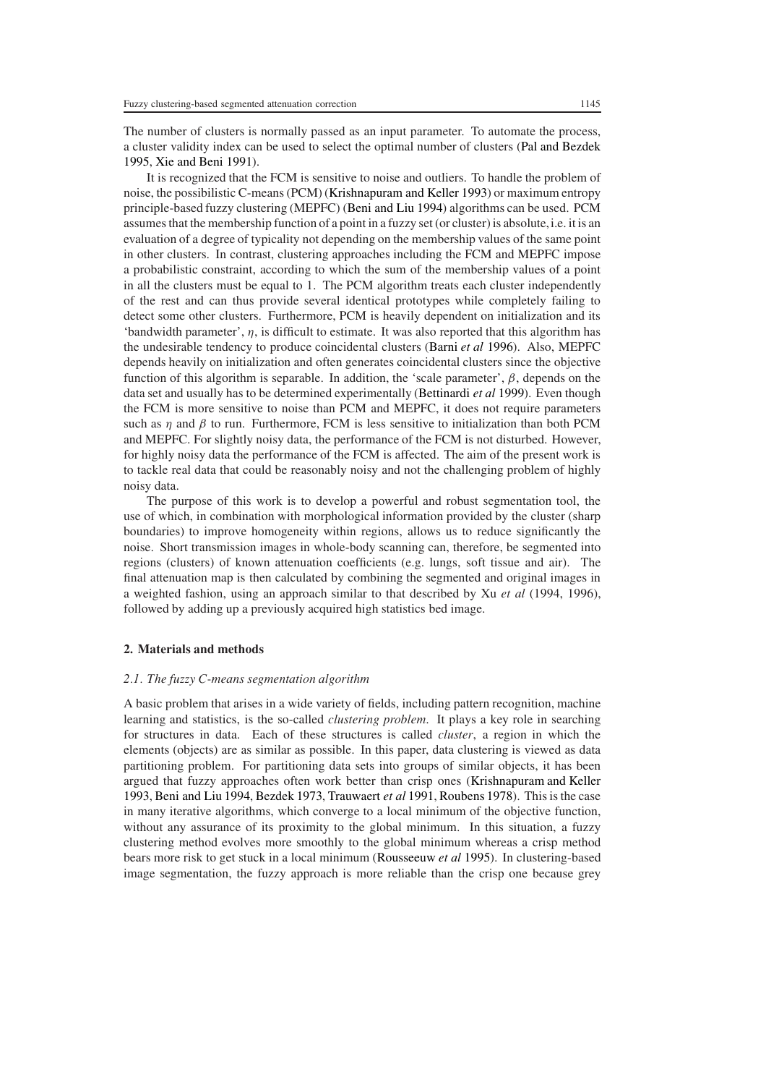The number of clusters is normally passed as an input parameter. To automate the process, a cluster validity index can be used to select the optimal number of clusters [\(Pal and Bezdek](#page-17-5) [1995,](#page-17-5) [Xie and Beni 1991\)](#page-17-6).

It is recognized that the FCM is sensitive to noise and outliers. To handle the problem of noise, the possibilistic C-means (PCM) [\(Krishnapuram and Keller 1993\)](#page-16-9) or maximum entropy principle-based fuzzy clustering (MEPFC) [\(Beni and Liu 1994\)](#page-16-10) algorithms can be used. PCM assumes that the membership function of a point in a fuzzy set (or cluster) is absolute,i.e. it is an evaluation of a degree of typicality not depending on the membership values of the same point in other clusters. In contrast, clustering approaches including the FCM and MEPFC impose a probabilistic constraint, according to which the sum of the membership values of a point in all the clusters must be equal to 1. The PCM algorithm treats each cluster independently of the rest and can thus provide several identical prototypes while completely failing to detect some other clusters. Furthermore, PCM is heavily dependent on initialization and its 'bandwidth parameter',  $\eta$ , is difficult to estimate. It was also reported that this algorithm has the undesirable tendency to produce coincidental clusters [\(Barni](#page-16-11) *et al* [1996\)](#page-16-11). Also, MEPFC depends heavily on initialization and often generates coincidental clusters since the objective function of this algorithm is separable. In addition, the 'scale parameter', *β*, depends on the data set and usually has to be determined experimentally [\(Bettinardi](#page-16-3) *et al* [1999](#page-16-3)). Even though the FCM is more sensitive to noise than PCM and MEPFC, it does not require parameters such as  $\eta$  and  $\beta$  to run. Furthermore, FCM is less sensitive to initialization than both PCM and MEPFC. For slightly noisy data, the performance of the FCM is not disturbed. However, for highly noisy data the performance of the FCM is affected. The aim of the present work is to tackle real data that could be reasonably noisy and not the challenging problem of highly noisy data.

The purpose of this work is to develop a powerful and robust segmentation tool, the use of which, in combination with morphological information provided by the cluster (sharp boundaries) to improve homogeneity within regions, allows us to reduce significantly the noise. Short transmission images in whole-body scanning can, therefore, be segmented into regions (clusters) of known attenuation coefficients (e.g. lungs, soft tissue and air). The final attenuation map is then calculated by combining the segmented and original images in a weighted fashion, using an approach similar to that described by Xu *et al* (1994, 1996), followed by adding up a previously acquired high statistics bed image.

#### **2. Materials and methods**

#### *2.1. The fuzzy C-means segmentation algorithm*

A basic problem that arises in a wide variety of fields, including pattern recognition, machine learning and statistics, is the so-called *clustering problem*. It plays a key role in searching for structures in data. Each of these structures is called *cluster*, a region in which the elements (objects) are as similar as possible. In this paper, data clustering is viewed as data partitioning problem. For partitioning data sets into groups of similar objects, it has been argued that fuzzy approaches often work better than crisp ones [\(Krishnapuram and Keller](#page-16-9) [1993,](#page-16-9) [Beni and Liu 1994](#page-16-10), [Bezdek 1973,](#page-16-8) [Trauwaert](#page-17-7) *et al* [1991,](#page-17-7) [Roubens 1978](#page-17-8)). This is the case in many iterative algorithms, which converge to a local minimum of the objective function, without any assurance of its proximity to the global minimum. In this situation, a fuzzy clustering method evolves more smoothly to the global minimum whereas a crisp method bears more risk to get stuck in a local minimum [\(Rousseeuw](#page-17-9) *et al* [1995\)](#page-17-9). In clustering-based image segmentation, the fuzzy approach is more reliable than the crisp one because grey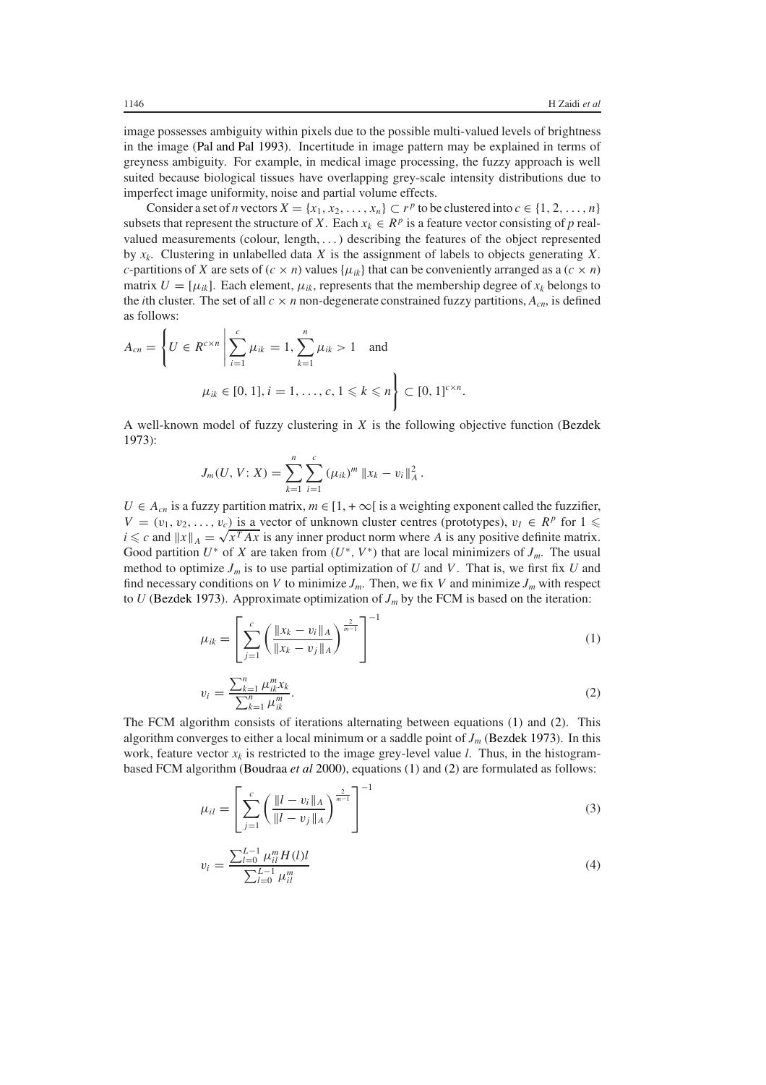image possesses ambiguity within pixels due to the possible multi-valued levels of brightness in the image [\(Pal and Pal 1993\)](#page-17-10). Incertitude in image pattern may be explained in terms of greyness ambiguity. For example, in medical image processing, the fuzzy approach is well suited because biological tissues have overlapping grey-scale intensity distributions due to imperfect image uniformity, noise and partial volume effects.

Consider a set of *n* vectors  $X = \{x_1, x_2, \ldots, x_n\} \subset r^p$  to be clustered into  $c \in \{1, 2, \ldots, n\}$ subsets that represent the structure of *X*. Each  $x_k \in R^p$  is a feature vector consisting of *p* realvalued measurements (colour, length, *...*) describing the features of the object represented by *xk*. Clustering in unlabelled data *X* is the assignment of labels to objects generating *X*. *c*-partitions of *X* are sets of  $(c \times n)$  values  $\{\mu_{ik}\}\$ that can be conveniently arranged as a  $(c \times n)$ matrix  $U = [\mu_{ik}]$ . Each element,  $\mu_{ik}$ , represents that the membership degree of  $x_k$  belongs to the *i*th cluster. The set of all  $c \times n$  non-degenerate constrained fuzzy partitions,  $A_{cn}$ , is defined as follows:

$$
A_{cn} = \left\{ U \in R^{c \times n} \middle| \sum_{i=1}^{c} \mu_{ik} = 1, \sum_{k=1}^{n} \mu_{ik} > 1 \text{ and}
$$
  

$$
\mu_{ik} \in [0, 1], i = 1, ..., c, 1 \leq k \leq n \right\} \subset [0, 1]^{c \times n}.
$$

A well-known model of fuzzy clustering in *X* is the following objective function [\(Bezdek](#page-16-8) [1973\)](#page-16-8):

$$
J_m(U, V: X) = \sum_{k=1}^n \sum_{i=1}^c (\mu_{ik})^m \|x_k - v_i\|_A^2.
$$

*U* ∈ *A<sub>cn</sub>* is a fuzzy partition matrix, *m* ∈ [1, + ∞[ is a weighting exponent called the fuzzifier,  $V = (v_1, v_2, \ldots, v_c)$  is a vector of unknown cluster centres (prototypes),  $v_I \in R^p$  for  $1 \leq$  $V = (v_1, v_2, \dots, v_c)$  is a vector of unknown cluster centres (prototypes),  $v_I \in R^{\nu}$  for  $I \le i \le c$  and  $||x||_A = \sqrt{x^T A x}$  is any inner product norm where *A* is any positive definite matrix. Good partition  $U^*$  of *X* are taken from  $(U^*, V^*)$  that are local minimizers of  $J_m$ . The usual method to optimize  $J_m$  is to use partial optimization of  $U$  and  $V$ . That is, we first fix  $U$  and find necessary conditions on *V* to minimize  $J_m$ . Then, we fix *V* and minimize  $J_m$  with respect to  $U$  [\(Bezdek 1973\)](#page-16-8). Approximate optimization of  $J<sub>m</sub>$  by the FCM is based on the iteration:

<span id="page-3-0"></span>
$$
\mu_{ik} = \left[ \sum_{j=1}^{c} \left( \frac{\|x_k - v_i\|_A}{\|x_k - v_j\|_A} \right)^{\frac{2}{m-1}} \right]^{-1} \tag{1}
$$

$$
v_i = \frac{\sum_{k=1}^n \mu_{ik}^m x_k}{\sum_{k=1}^n \mu_{ik}^m}.
$$
\n(2)

<span id="page-3-3"></span><span id="page-3-1"></span>The FCM algorithm consists of iterations alternating between equations [\(1\)](#page-3-0) and [\(2\)](#page-3-1). This algorithm converges to either a local minimum or a saddle point of *Jm* [\(Bezdek 1973\)](#page-16-8). In this work, feature vector  $x_k$  is restricted to the image grey-level value *l*. Thus, in the histogrambased FCM algorithm [\(Boudraa](#page-16-12) *et al* [2000\)](#page-16-12), equations [\(1\)](#page-3-0) and [\(2\)](#page-3-1) are formulated as follows:

$$
\mu_{il} = \left[ \sum_{j=1}^{c} \left( \frac{\|l - v_i\|_A}{\|l - v_j\|_A} \right)^{\frac{2}{m-1}} \right]^{-1} \tag{3}
$$

<span id="page-3-2"></span>
$$
v_i = \frac{\sum_{l=0}^{L-1} \mu_{il}^m H(l)l}{\sum_{l=0}^{L-1} \mu_{il}^m}
$$
(4)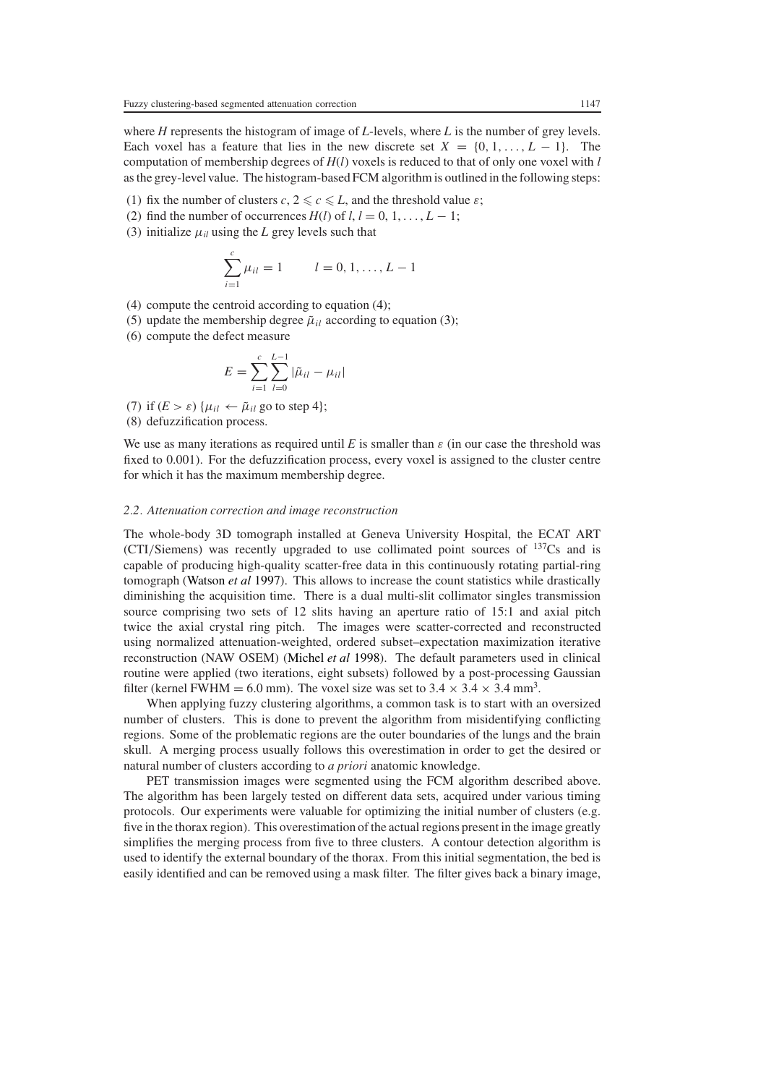where *H* represents the histogram of image of *L*-levels, where *L* is the number of grey levels. Each voxel has a feature that lies in the new discrete set  $X = \{0, 1, \ldots, L-1\}$ . The computation of membership degrees of *H*(*l*) voxels is reduced to that of only one voxel with *l* as the grey-level value. The histogram-based FCM algorithm is outlined in the following steps:

- (1) fix the number of clusters  $c, 2 \leq c \leq L$ , and the threshold value  $\varepsilon$ ;
- (2) find the number of occurrences  $H(l)$  of  $l, l = 0, 1, \ldots, L 1$ ;
- (3) initialize  $\mu_{il}$  using the *L* grey levels such that

$$
\sum_{i=1}^{c} \mu_{il} = 1 \qquad l = 0, 1, \dots, L - 1
$$

- (4) compute the centroid according to equation [\(4\)](#page-3-2);
- (5) update the membership degree  $\tilde{\mu}_{il}$  according to equation [\(3\)](#page-3-3);
- (6) compute the defect measure

$$
E = \sum_{i=1}^{c} \sum_{l=0}^{L-1} |\tilde{\mu}_{il} - \mu_{il}|
$$

(7) if  $(E > \varepsilon)$  { $\mu_{il} \leftarrow \tilde{\mu}_{il}$  go to step 4}; (8) defuzzification process.

We use as many iterations as required until *E* is smaller than  $\varepsilon$  (in our case the threshold was fixed to 0.001). For the defuzzification process, every voxel is assigned to the cluster centre for which it has the maximum membership degree.

#### *2.2. Attenuation correction and image reconstruction*

The whole-body 3D tomograph installed at Geneva University Hospital, the ECAT ART (CTI*/*Siemens) was recently upgraded to use collimated point sources of 137Cs and is capable of producing high-quality scatter-free data in this continuously rotating partial-ring tomograph [\(Watson](#page-17-11) *et al* [1997\)](#page-17-11). This allows to increase the count statistics while drastically diminishing the acquisition time. There is a dual multi-slit collimator singles transmission source comprising two sets of 12 slits having an aperture ratio of 15:1 and axial pitch twice the axial crystal ring pitch. The images were scatter-corrected and reconstructed using normalized attenuation-weighted, ordered subset–expectation maximization iterative reconstruction (NAW OSEM) [\(Michel](#page-17-12) *et al* [1998\)](#page-17-12). The default parameters used in clinical routine were applied (two iterations, eight subsets) followed by a post-processing Gaussian filter (kernel FWHM = 6.0 mm). The voxel size was set to  $3.4 \times 3.4 \times 3.4$  mm<sup>3</sup>.

When applying fuzzy clustering algorithms, a common task is to start with an oversized number of clusters. This is done to prevent the algorithm from misidentifying conflicting regions. Some of the problematic regions are the outer boundaries of the lungs and the brain skull. A merging process usually follows this overestimation in order to get the desired or natural number of clusters according to *a priori* anatomic knowledge.

PET transmission images were segmented using the FCM algorithm described above. The algorithm has been largely tested on different data sets, acquired under various timing protocols. Our experiments were valuable for optimizing the initial number of clusters (e.g. five in the thorax region). This overestimation of the actual regions present in the image greatly simplifies the merging process from five to three clusters. A contour detection algorithm is used to identify the external boundary of the thorax. From this initial segmentation, the bed is easily identified and can be removed using a mask filter. The filter gives back a binary image,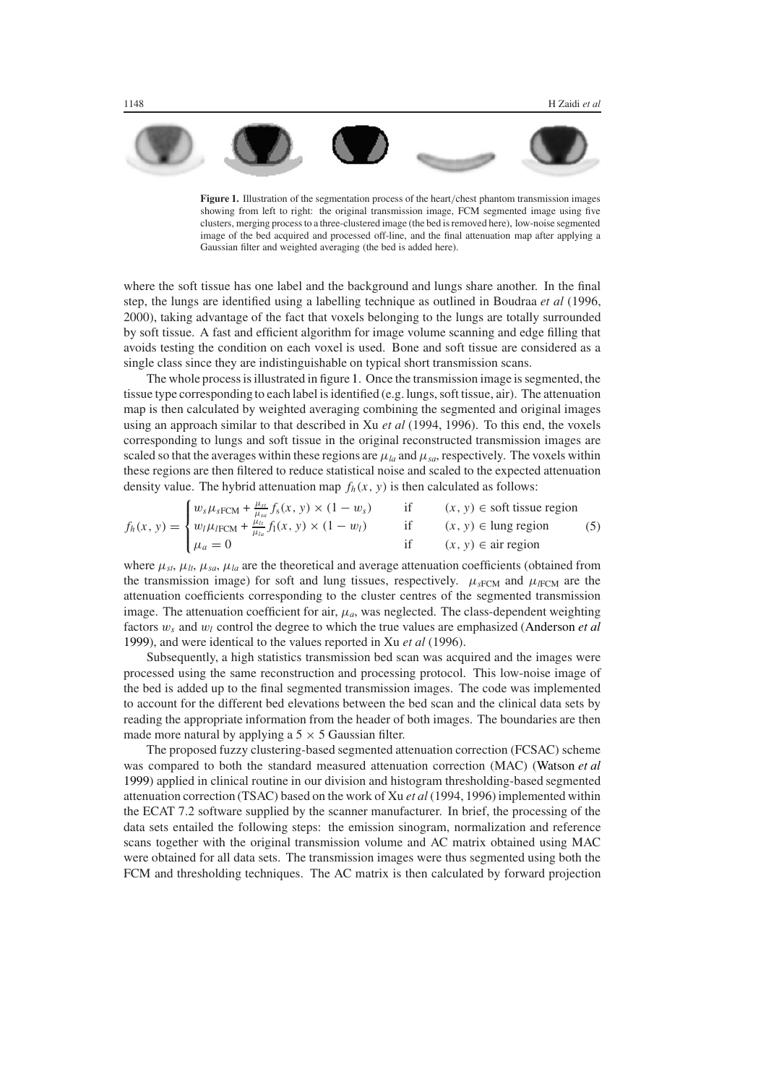<span id="page-5-0"></span>**Figure 1.** Illustration of the segmentation process of the heart*/*chest phantom transmission images showing from left to right: the original transmission image, FCM segmented image using five clusters, merging process to a three-clustered image (the bed is removed here), low-noise segmented image of the bed acquired and processed off-line, and the final attenuation map after applying a Gaussian filter and weighted averaging (the bed is added here).

where the soft tissue has one label and the background and lungs share another. In the final step, the lungs are identified using a labelling technique as outlined in Boudraa *et al* (1996, 2000), taking advantage of the fact that voxels belonging to the lungs are totally surrounded by soft tissue. A fast and efficient algorithm for image volume scanning and edge filling that avoids testing the condition on each voxel is used. Bone and soft tissue are considered as a single class since they are indistinguishable on typical short transmission scans.

The whole process is illustrated in figure [1.](#page-5-0) Once the transmission image is segmented, the tissue type corresponding to each label is identified (e.g. lungs, soft tissue, air). The attenuation map is then calculated by weighted averaging combining the segmented and original images using an approach similar to that described in Xu *et al* (1994, 1996). To this end, the voxels corresponding to lungs and soft tissue in the original reconstructed transmission images are scaled so that the averages within these regions are  $\mu_{l}$  and  $\mu_{sa}$ , respectively. The voxels within these regions are then filtered to reduce statistical noise and scaled to the expected attenuation density value. The hybrid attenuation map  $f_h(x, y)$  is then calculated as follows:

$$
f_h(x, y) = \begin{cases} w_s \mu_{sFCM} + \frac{\mu_{st}}{\mu_{sa}} f_s(x, y) \times (1 - w_s) & \text{if} \quad (x, y) \in \text{soft tissue region} \\ w_l \mu_{IFCM} + \frac{\mu_{lt}}{\mu_{la}} f_l(x, y) \times (1 - w_l) & \text{if} \quad (x, y) \in \text{lung region} \\ \mu_a = 0 & \text{if} \quad (x, y) \in \text{air region} \end{cases}
$$
 (5)

where  $\mu_{st}$ ,  $\mu_{lt}$ ,  $\mu_{sa}$ ,  $\mu_{la}$  are the theoretical and average attenuation coefficients (obtained from the transmission image) for soft and lung tissues, respectively.  $\mu_{\text{sFCM}}$  and  $\mu_{\text{FCM}}$  are the attenuation coefficients corresponding to the cluster centres of the segmented transmission image. The attenuation coefficient for air,  $\mu_a$ , was neglected. The class-dependent weighting factors *ws* and *wl* control the degree to which the true values are emphasized [\(Anderson](#page-16-1) *et al* [1999\)](#page-16-1), and were identical to the values reported in Xu *et al* (1996).

Subsequently, a high statistics transmission bed scan was acquired and the images were processed using the same reconstruction and processing protocol. This low-noise image of the bed is added up to the final segmented transmission images. The code was implemented to account for the different bed elevations between the bed scan and the clinical data sets by reading the appropriate information from the header of both images. The boundaries are then made more natural by applying a  $5 \times 5$  Gaussian filter.

The proposed fuzzy clustering-based segmented attenuation correction (FCSAC) scheme was compared to both the standard measured attenuation correction (MAC) [\(Watson](#page-17-13) *et al* [1999\)](#page-17-13) applied in clinical routine in our division and histogram thresholding-based segmented attenuation correction (TSAC) based on the work of Xu *et al* (1994, 1996) implemented within the ECAT 7.2 software supplied by the scanner manufacturer. In brief, the processing of the data sets entailed the following steps: the emission sinogram, normalization and reference scans together with the original transmission volume and AC matrix obtained using MAC were obtained for all data sets. The transmission images were thus segmented using both the FCM and thresholding techniques. The AC matrix is then calculated by forward projection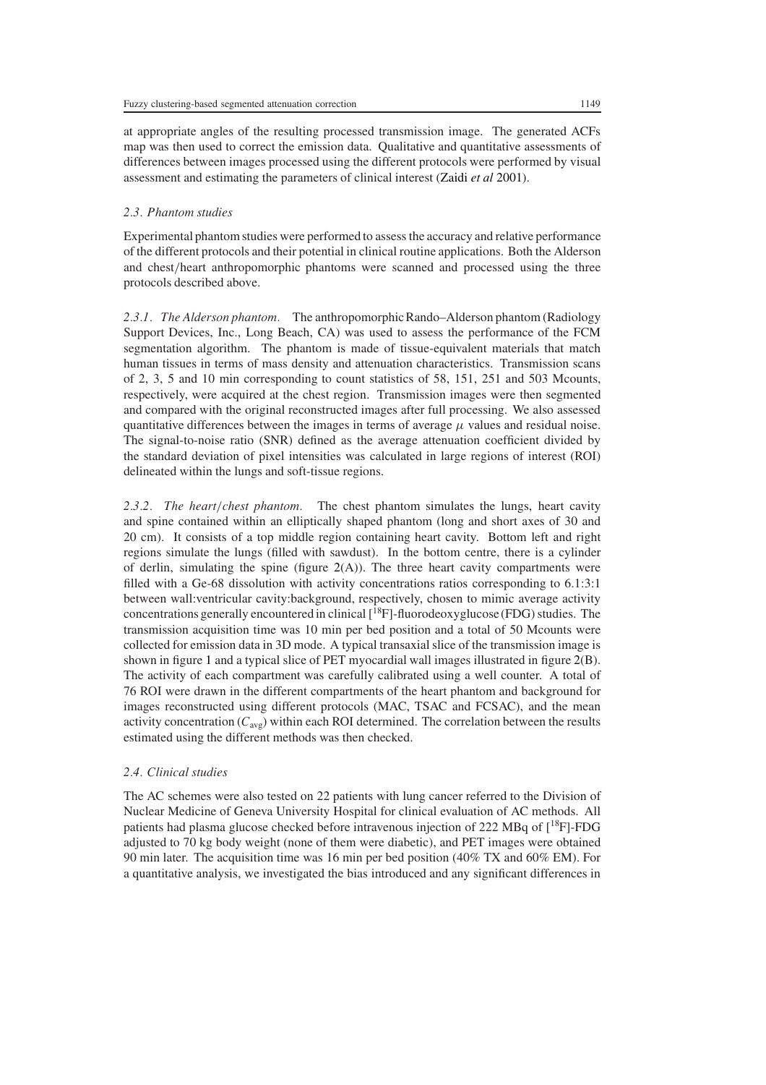at appropriate angles of the resulting processed transmission image. The generated ACFs map was then used to correct the emission data. Qualitative and quantitative assessments of differences between images processed using the different protocols were performed by visual assessment and estimating the parameters of clinical interest [\(Zaidi](#page-17-4) *et al* [2001\)](#page-17-4).

#### *2.3. Phantom studies*

Experimental phantom studies were performed to assess the accuracy and relative performance of the different protocols and their potential in clinical routine applications. Both the Alderson and chest*/*heart anthropomorphic phantoms were scanned and processed using the three protocols described above.

*2.3.1. The Alderson phantom.* The anthropomorphic Rando–Alderson phantom (Radiology Support Devices, Inc., Long Beach, CA) was used to assess the performance of the FCM segmentation algorithm. The phantom is made of tissue-equivalent materials that match human tissues in terms of mass density and attenuation characteristics. Transmission scans of 2, 3, 5 and 10 min corresponding to count statistics of 58, 151, 251 and 503 Mcounts, respectively, were acquired at the chest region. Transmission images were then segmented and compared with the original reconstructed images after full processing. We also assessed quantitative differences between the images in terms of average  $\mu$  values and residual noise. The signal-to-noise ratio (SNR) defined as the average attenuation coefficient divided by the standard deviation of pixel intensities was calculated in large regions of interest (ROI) delineated within the lungs and soft-tissue regions.

*2.3.2. The heart/chest phantom.* The chest phantom simulates the lungs, heart cavity and spine contained within an elliptically shaped phantom (long and short axes of 30 and 20 cm). It consists of a top middle region containing heart cavity. Bottom left and right regions simulate the lungs (filled with sawdust). In the bottom centre, there is a cylinder of derlin, simulating the spine (figure  $2(A)$  $2(A)$ ). The three heart cavity compartments were filled with a Ge-68 dissolution with activity concentrations ratios corresponding to 6.1:3:1 between wall:ventricular cavity:background, respectively, chosen to mimic average activity concentrations generally encountered in clinical  $\overline{1}^{18}F$ ]-fluorodeoxyglucose (FDG) studies. The transmission acquisition time was 10 min per bed position and a total of 50 Mcounts were collected for emission data in 3D mode. A typical transaxial slice of the transmission image is shown in figure [1](#page-5-0) and a typical slice of PET myocardial wall images illustrated in figure [2\(](#page-7-0)B). The activity of each compartment was carefully calibrated using a well counter. A total of 76 ROI were drawn in the different compartments of the heart phantom and background for images reconstructed using different protocols (MAC, TSAC and FCSAC), and the mean activity concentration (*C*avg) within each ROI determined. The correlation between the results estimated using the different methods was then checked.

#### *2.4. Clinical studies*

The AC schemes were also tested on 22 patients with lung cancer referred to the Division of Nuclear Medicine of Geneva University Hospital for clinical evaluation of AC methods. All patients had plasma glucose checked before intravenous injection of 222 MBq of  $[18F]$ -FDG adjusted to 70 kg body weight (none of them were diabetic), and PET images were obtained 90 min later. The acquisition time was 16 min per bed position (40% TX and 60% EM). For a quantitative analysis, we investigated the bias introduced and any significant differences in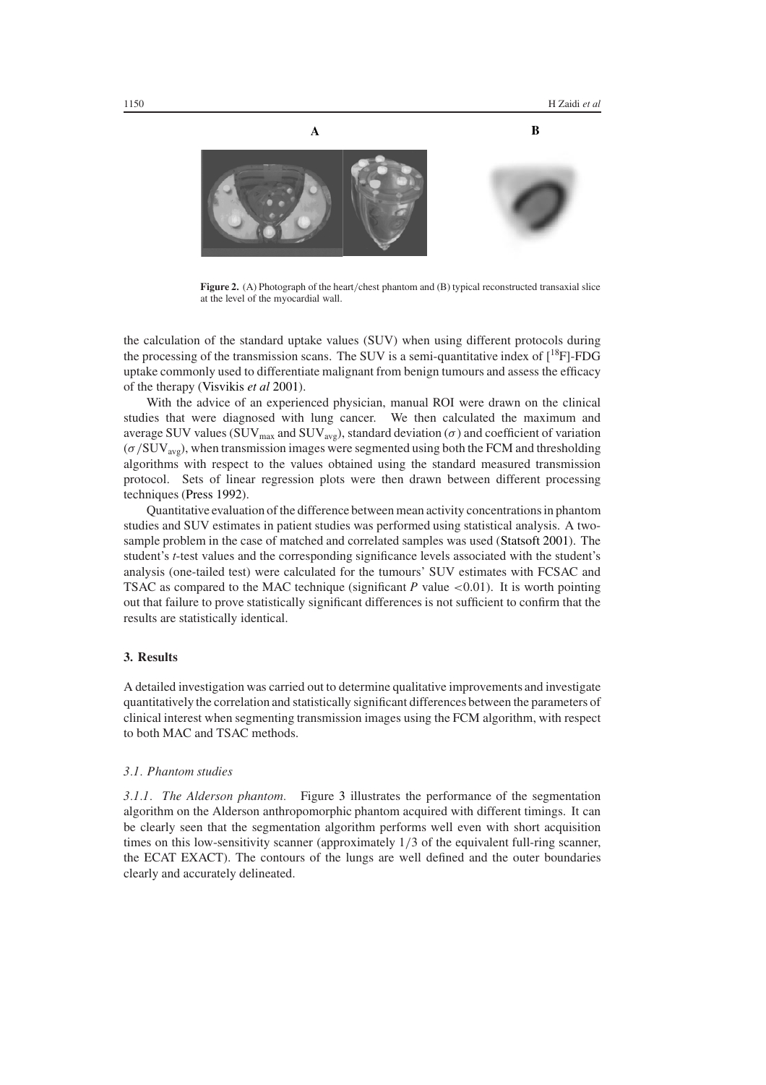

**Figure 2.** (A) Photograph of the heart*/*chest phantom and (B) typical reconstructed transaxial slice at the level of the myocardial wall.

<span id="page-7-0"></span>the calculation of the standard uptake values (SUV) when using different protocols during the processing of the transmission scans. The SUV is a semi-quantitative index of  $\binom{18}{1}$ -FDG uptake commonly used to differentiate malignant from benign tumours and assess the efficacy of the therapy [\(Visvikis](#page-17-14) *et al* [2001\)](#page-17-14).

With the advice of an experienced physician, manual ROI were drawn on the clinical studies that were diagnosed with lung cancer. We then calculated the maximum and average SUV values (SUV<sub>max</sub> and SUV<sub>avg</sub>), standard deviation ( $\sigma$ ) and coefficient of variation (*σ /*SUVavg), when transmission images were segmented using both the FCM and thresholding algorithms with respect to the values obtained using the standard measured transmission protocol. Sets of linear regression plots were then drawn between different processing techniques [\(Press 1992\)](#page-17-15).

Quantitative evaluation of the difference between mean activity concentrations in phantom studies and SUV estimates in patient studies was performed using statistical analysis. A twosample problem in the case of matched and correlated samples was used [\(Statsoft 2001\)](#page-17-16). The student's *t*-test values and the corresponding significance levels associated with the student's analysis (one-tailed test) were calculated for the tumours' SUV estimates with FCSAC and TSAC as compared to the MAC technique (significant *P* value *<*0.01). It is worth pointing out that failure to prove statistically significant differences is not sufficient to confirm that the results are statistically identical.

#### **3. Results**

A detailed investigation was carried out to determine qualitative improvements and investigate quantitatively the correlation and statistically significant differences between the parameters of clinical interest when segmenting transmission images using the FCM algorithm, with respect to both MAC and TSAC methods.

## *3.1. Phantom studies*

*3.1.1. The Alderson phantom.* Figure [3](#page-8-0) illustrates the performance of the segmentation algorithm on the Alderson anthropomorphic phantom acquired with different timings. It can be clearly seen that the segmentation algorithm performs well even with short acquisition times on this low-sensitivity scanner (approximately 1*/*3 of the equivalent full-ring scanner, the ECAT EXACT). The contours of the lungs are well defined and the outer boundaries clearly and accurately delineated.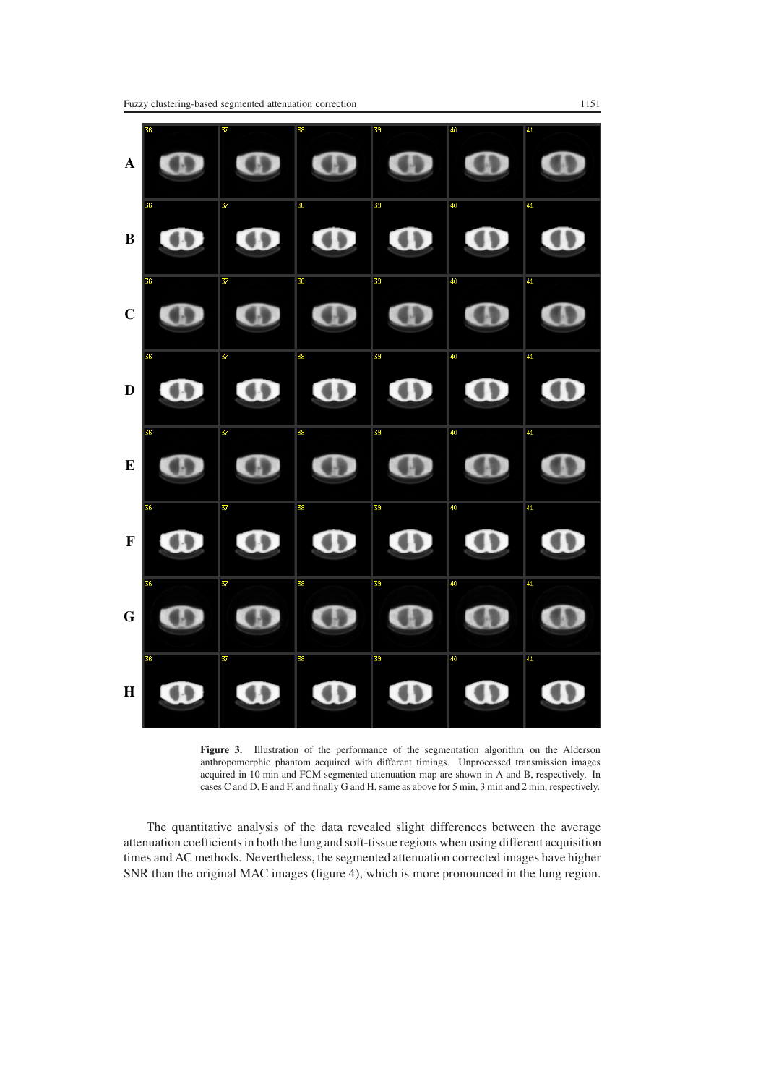

<span id="page-8-0"></span>**Figure 3.** Illustration of the performance of the segmentation algorithm on the Alderson anthropomorphic phantom acquired with different timings. Unprocessed transmission images acquired in 10 min and FCM segmented attenuation map are shown in A and B, respectively. In cases C and D, E and F, and finally G and H, same as above for 5 min, 3 min and 2 min, respectively.

The quantitative analysis of the data revealed slight differences between the average attenuation coefficients in both the lung and soft-tissue regions when using different acquisition times and AC methods. Nevertheless, the segmented attenuation corrected images have higher SNR than the original MAC images (figure [4\)](#page-9-0), which is more pronounced in the lung region.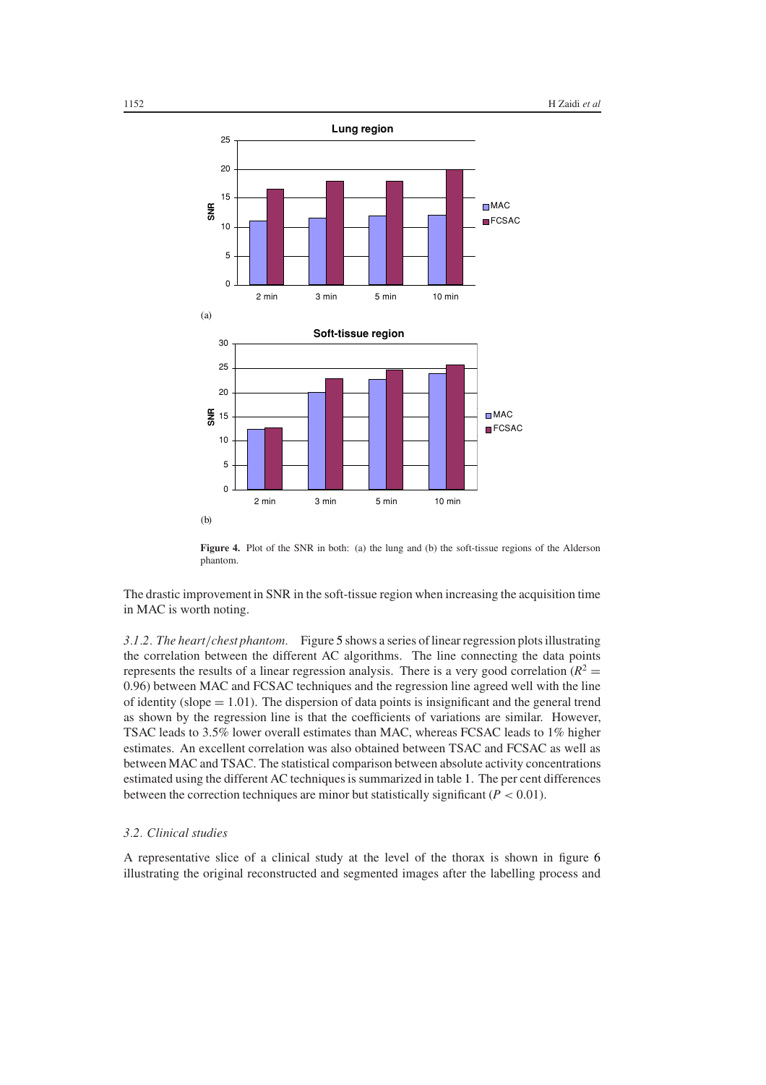

Figure 4. Plot of the SNR in both: (a) the lung and (b) the soft-tissue regions of the Alderson phantom.

<span id="page-9-0"></span>The drastic improvement in SNR in the soft-tissue region when increasing the acquisition time in MAC is worth noting.

*3.1.2. The heart/chest phantom.* Figure [5](#page-10-0) shows a series of linear regression plots illustrating the correlation between the different AC algorithms. The line connecting the data points represents the results of a linear regression analysis. There is a very good correlation ( $R^2$  = 0.96) between MAC and FCSAC techniques and the regression line agreed well with the line of identity (slope  $= 1.01$ ). The dispersion of data points is insignificant and the general trend as shown by the regression line is that the coefficients of variations are similar. However, TSAC leads to 3.5% lower overall estimates than MAC, whereas FCSAC leads to 1% higher estimates. An excellent correlation was also obtained between TSAC and FCSAC as well as between MAC and TSAC. The statistical comparison between absolute activity concentrations estimated using the different AC techniques is summarized in table [1.](#page-10-1) The per cent differences between the correction techniques are minor but statistically significant (*P <* 0.01).

#### *3.2. Clinical studies*

A representative slice of a clinical study at the level of the thorax is shown in figure [6](#page-11-0) illustrating the original reconstructed and segmented images after the labelling process and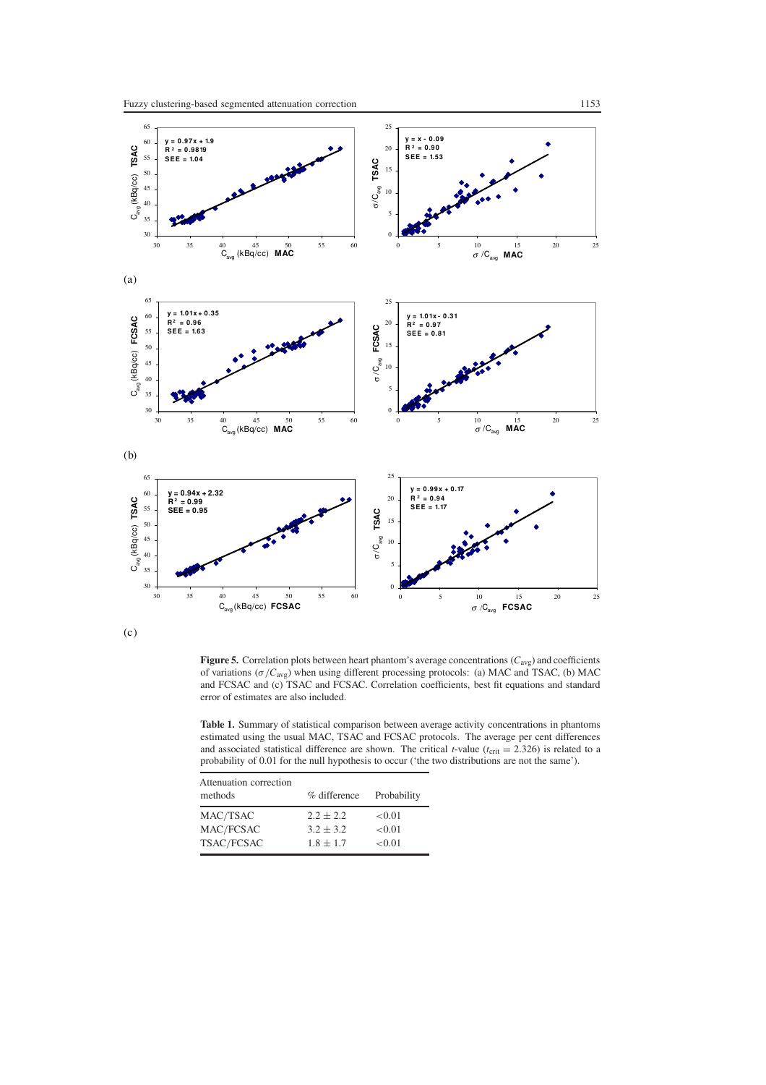

<span id="page-10-0"></span>(c)

**Figure 5.** Correlation plots between heart phantom's average concentrations (*C*avg) and coefficients of variations (*σ /C*avg) when using different processing protocols: (a) MAC and TSAC, (b) MAC and FCSAC and (c) TSAC and FCSAC. Correlation coefficients, best fit equations and standard error of estimates are also included.

<span id="page-10-1"></span>**Table 1.** Summary of statistical comparison between average activity concentrations in phantoms estimated using the usual MAC, TSAC and FCSAC protocols. The average per cent differences and associated statistical difference are shown. The critical *t*-value ( $t_{\text{crit}} = 2.326$ ) is related to a probability of 0.01 for the null hypothesis to occur ('the two distributions are not the same').

| Attenuation correction<br>methods | % difference  | Probability |
|-----------------------------------|---------------|-------------|
| MAC/TSAC                          | $2.2 + 2.2$   | ${<}0.01$   |
| MAC/FCSAC                         | $3.2 + 3.2$   | < 0.01      |
| TSAC/FCSAC                        | $1.8 \pm 1.7$ | < 0.01      |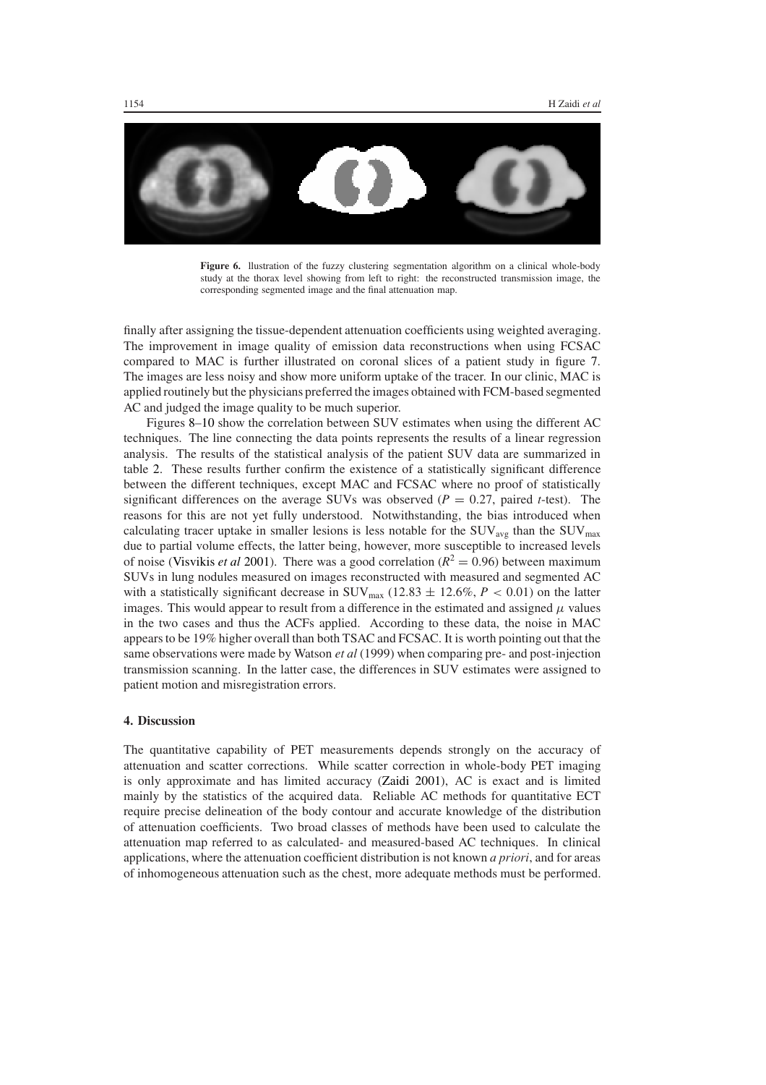

<span id="page-11-0"></span>**Figure 6.** llustration of the fuzzy clustering segmentation algorithm on a clinical whole-body study at the thorax level showing from left to right: the reconstructed transmission image, the corresponding segmented image and the final attenuation map.

finally after assigning the tissue-dependent attenuation coefficients using weighted averaging. The improvement in image quality of emission data reconstructions when using FCSAC compared to MAC is further illustrated on coronal slices of a patient study in figure [7.](#page-12-0) The images are less noisy and show more uniform uptake of the tracer. In our clinic, MAC is applied routinely but the physicians preferred the images obtained with FCM-based segmented AC and judged the image quality to be much superior.

Figures [8–](#page-13-0)[10](#page-15-0) show the correlation between SUV estimates when using the different AC techniques. The line connecting the data points represents the results of a linear regression analysis. The results of the statistical analysis of the patient SUV data are summarized in table [2.](#page-15-1) These results further confirm the existence of a statistically significant difference between the different techniques, except MAC and FCSAC where no proof of statistically significant differences on the average SUVs was observed ( $P = 0.27$ , paired *t*-test). The reasons for this are not yet fully understood. Notwithstanding, the bias introduced when calculating tracer uptake in smaller lesions is less notable for the  $\text{SUV}_{\text{avg}}$  than the  $\text{SUV}_{\text{max}}$ due to partial volume effects, the latter being, however, more susceptible to increased levels of noise [\(Visvikis](#page-17-14) *et al* [2001\)](#page-17-14). There was a good correlation ( $R^2 = 0.96$ ) between maximum SUVs in lung nodules measured on images reconstructed with measured and segmented AC with a statistically significant decrease in SUV<sub>max</sub> (12.83  $\pm$  12.6%, *P* < 0.01) on the latter images. This would appear to result from a difference in the estimated and assigned  $\mu$  values in the two cases and thus the ACFs applied. According to these data, the noise in MAC appears to be 19% higher overall than both TSAC and FCSAC. It is worth pointing out that the same observations were made by Watson *et al* (1999) when comparing pre- and post-injection transmission scanning. In the latter case, the differences in SUV estimates were assigned to patient motion and misregistration errors.

## **4. Discussion**

The quantitative capability of PET measurements depends strongly on the accuracy of attenuation and scatter corrections. While scatter correction in whole-body PET imaging is only approximate and has limited accuracy [\(Zaidi 2001\)](#page-17-17), AC is exact and is limited mainly by the statistics of the acquired data. Reliable AC methods for quantitative ECT require precise delineation of the body contour and accurate knowledge of the distribution of attenuation coefficients. Two broad classes of methods have been used to calculate the attenuation map referred to as calculated- and measured-based AC techniques. In clinical applications, where the attenuation coefficient distribution is not known *a priori*, and for areas of inhomogeneous attenuation such as the chest, more adequate methods must be performed.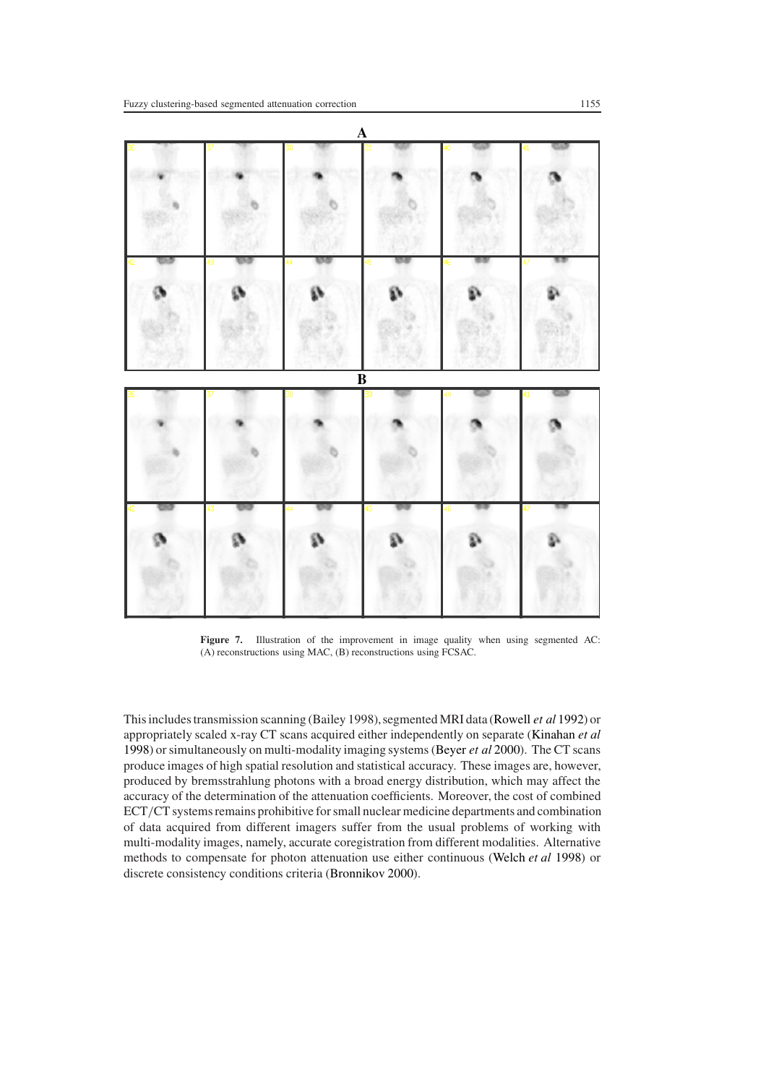

<span id="page-12-0"></span>Figure 7. Illustration of the improvement in image quality when using segmented AC: (A) reconstructions using MAC, (B) reconstructions using FCSAC.

This includes transmission scanning (Bailey 1998), segmented MRI data [\(Rowell](#page-17-18) *et al* [1992\)](#page-17-18) or appropriately scaled x-ray CT scans acquired either independently on separate [\(Kinahan](#page-16-13) *et al* [1998\)](#page-16-13) or simultaneously on multi-modality imaging systems [\(Beyer](#page-16-14) *et al* [2000\)](#page-16-14). The CT scans produce images of high spatial resolution and statistical accuracy. These images are, however, produced by bremsstrahlung photons with a broad energy distribution, which may affect the accuracy of the determination of the attenuation coefficients. Moreover, the cost of combined ECT*/*CT systems remains prohibitive for small nuclear medicine departments and combination of data acquired from different imagers suffer from the usual problems of working with multi-modality images, namely, accurate coregistration from different modalities. Alternative methods to compensate for photon attenuation use either continuous [\(Welch](#page-17-19) *et al* [1998\)](#page-17-19) or discrete consistency conditions criteria [\(Bronnikov 2000](#page-16-15)).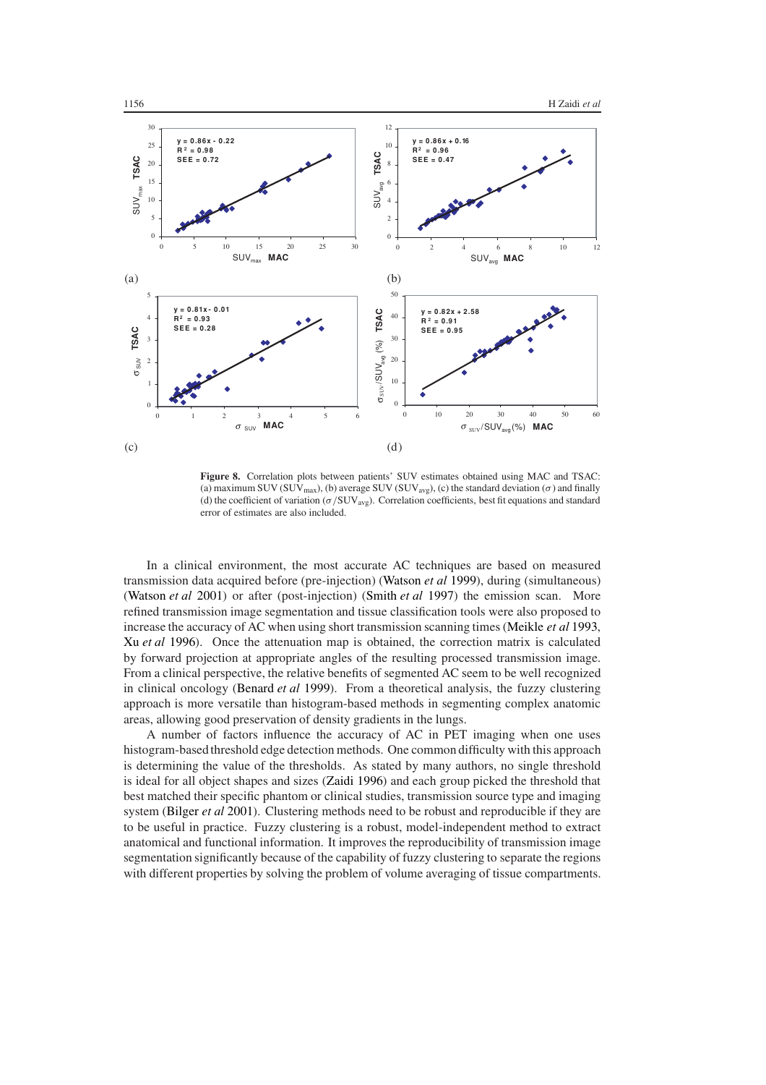

<span id="page-13-0"></span>**Figure 8.** Correlation plots between patients' SUV estimates obtained using MAC and TSAC: (a) maximum SUV (SUV<sub>max</sub>), (b) average SUV (SUV<sub>avg</sub>), (c) the standard deviation ( $\sigma$ ) and finally (d) the coefficient of variation (*σ /*SUVavg). Correlation coefficients, best fit equations and standard error of estimates are also included.

In a clinical environment, the most accurate AC techniques are based on measured transmission data acquired before (pre-injection) [\(Watson](#page-17-13) *et al* [1999\)](#page-17-13), during (simultaneous) [\(Watson](#page-17-20) *et al* [2001\)](#page-17-20) or after (post-injection) [\(Smith](#page-17-21) *et al* [1997\)](#page-17-21) the emission scan. More refined transmission image segmentation and tissue classification tools were also proposed to increase the accuracy of AC when using short transmission scanning times [\(Meikle](#page-16-2) *et al* [1993](#page-16-2), Xu *[et al](#page-17-22)* [1996\)](#page-17-22). Once the attenuation map is obtained, the correction matrix is calculated by forward projection at appropriate angles of the resulting processed transmission image. From a clinical perspective, the relative benefits of segmented AC seem to be well recognized in clinical oncology [\(Benard](#page-16-16) *et al* [1999](#page-16-16)). From a theoretical analysis, the fuzzy clustering approach is more versatile than histogram-based methods in segmenting complex anatomic areas, allowing good preservation of density gradients in the lungs.

A number of factors influence the accuracy of AC in PET imaging when one uses histogram-based threshold edge detection methods. One common difficulty with this approach is determining the value of the thresholds. As stated by many authors, no single threshold is ideal for all object shapes and sizes [\(Zaidi 1996\)](#page-17-23) and each group picked the threshold that best matched their specific phantom or clinical studies, transmission source type and imaging system [\(Bilger](#page-16-4) *et al* [2001\)](#page-16-4). Clustering methods need to be robust and reproducible if they are to be useful in practice. Fuzzy clustering is a robust, model-independent method to extract anatomical and functional information. It improves the reproducibility of transmission image segmentation significantly because of the capability of fuzzy clustering to separate the regions with different properties by solving the problem of volume averaging of tissue compartments.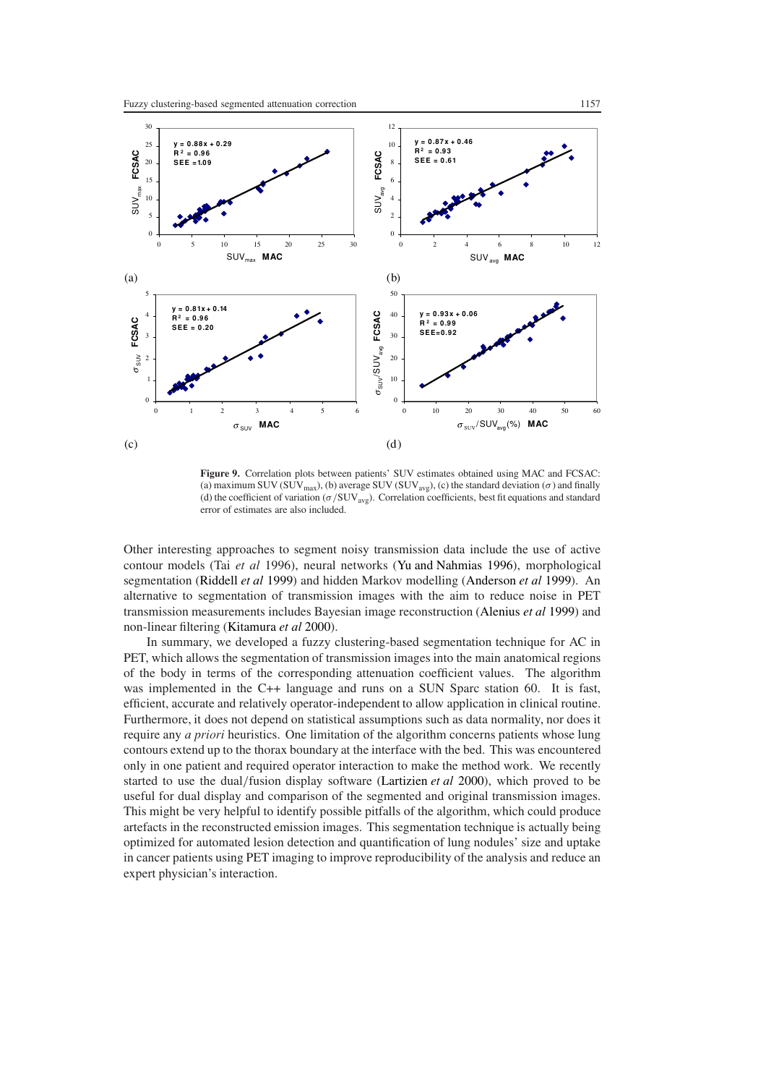

**Figure 9.** Correlation plots between patients' SUV estimates obtained using MAC and FCSAC: (a) maximum SUV ( $SUV_{max}$ ), (b) average SUV ( $SUV_{avg}$ ), (c) the standard deviation ( $\sigma$ ) and finally (d) the coefficient of variation (*σ /*SUVavg). Correlation coefficients, best fit equations and standard error of estimates are also included.

Other interesting approaches to segment noisy transmission data include the use of active contour models (Tai *et al* 1996), neural networks [\(Yu and Nahmias 1996\)](#page-17-2), morphological segmentation [\(Riddell](#page-17-1) *et al* [1999\)](#page-17-1) and hidden Markov modelling [\(Anderson](#page-16-1) *et al* [1999\)](#page-16-1). An alternative to segmentation of transmission images with the aim to reduce noise in PET transmission measurements includes Bayesian image reconstruction [\(Alenius](#page-16-17) *et al* [1999\)](#page-16-17) and non-linear filtering [\(Kitamura](#page-16-18) *et al* [2000\)](#page-16-18).

In summary, we developed a fuzzy clustering-based segmentation technique for AC in PET, which allows the segmentation of transmission images into the main anatomical regions of the body in terms of the corresponding attenuation coefficient values. The algorithm was implemented in the C++ language and runs on a SUN Sparc station 60. It is fast, efficient, accurate and relatively operator-independent to allow application in clinical routine. Furthermore, it does not depend on statistical assumptions such as data normality, nor does it require any *a priori* heuristics. One limitation of the algorithm concerns patients whose lung contours extend up to the thorax boundary at the interface with the bed. This was encountered only in one patient and required operator interaction to make the method work. We recently started to use the dual*/*fusion display software [\(Lartizien](#page-16-19) *et al* [2000\)](#page-16-19), which proved to be useful for dual display and comparison of the segmented and original transmission images. This might be very helpful to identify possible pitfalls of the algorithm, which could produce artefacts in the reconstructed emission images. This segmentation technique is actually being optimized for automated lesion detection and quantification of lung nodules' size and uptake in cancer patients using PET imaging to improve reproducibility of the analysis and reduce an expert physician's interaction.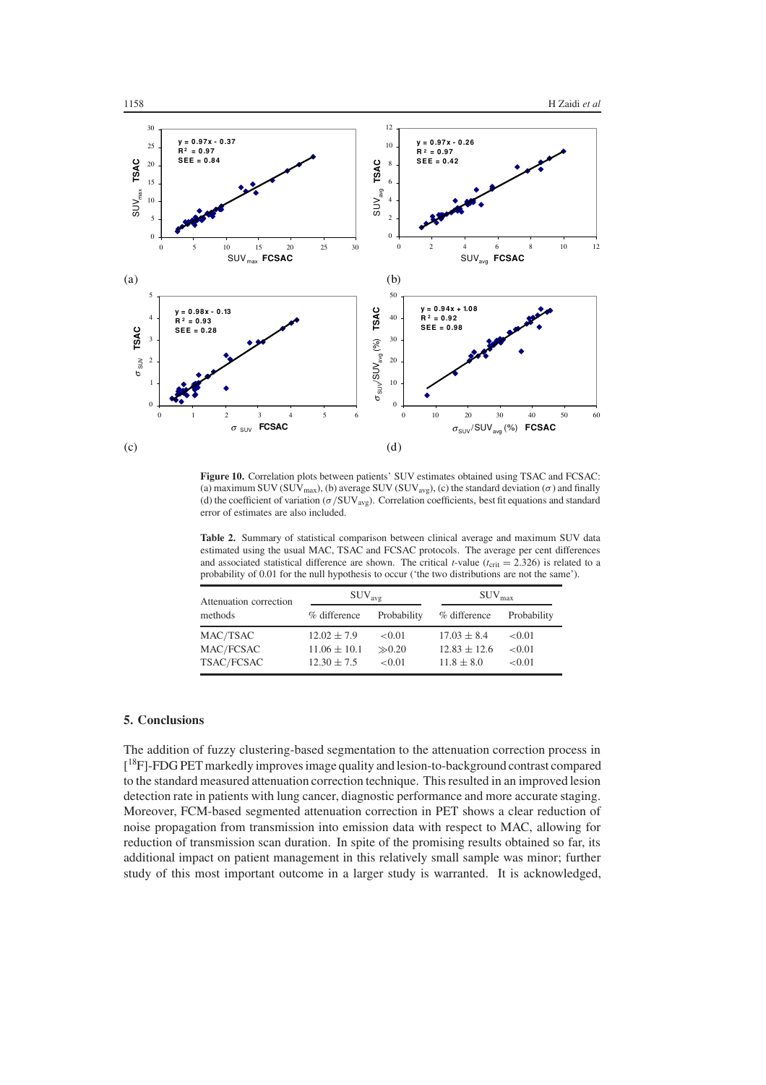

<span id="page-15-0"></span>**Figure 10.** Correlation plots between patients' SUV estimates obtained using TSAC and FCSAC: (a) maximum SUV (SUV<sub>max</sub>), (b) average SUV (SUV<sub>avg</sub>), (c) the standard deviation ( $\sigma$ ) and finally (d) the coefficient of variation (*σ /*SUVavg). Correlation coefficients, best fit equations and standard error of estimates are also included.

<span id="page-15-1"></span>**Table 2.** Summary of statistical comparison between clinical average and maximum SUV data estimated using the usual MAC, TSAC and FCSAC protocols. The average per cent differences and associated statistical difference are shown. The critical *t*-value ( $t_{\text{crit}} = 2.326$ ) is related to a probability of 0.01 for the null hypothesis to occur ('the two distributions are not the same').

| Attenuation correction<br>methods   | $\rm{SUV}_{\rm{avg}}$                                  |                                | SUV <sub>max</sub>                                    |                            |
|-------------------------------------|--------------------------------------------------------|--------------------------------|-------------------------------------------------------|----------------------------|
|                                     | % difference                                           | Probability                    | % difference                                          | Probability                |
| MAC/TSAC<br>MAC/FCSAC<br>TSAC/FCSAC | $12.02 \pm 7.9$<br>$11.06 \pm 10.1$<br>$12.30 \pm 7.5$ | < 0.01<br>$\gg 0.20$<br>< 0.01 | $17.03 \pm 8.4$<br>$12.83 \pm 12.6$<br>$11.8 \pm 8.0$ | < 0.01<br>< 0.01<br>< 0.01 |

## **5. Conclusions**

The addition of fuzzy clustering-based segmentation to the attenuation correction process in [<sup>18</sup>F]-FDG PET markedly improves image quality and lesion-to-background contrast compared to the standard measured attenuation correction technique. This resulted in an improved lesion detection rate in patients with lung cancer, diagnostic performance and more accurate staging. Moreover, FCM-based segmented attenuation correction in PET shows a clear reduction of noise propagation from transmission into emission data with respect to MAC, allowing for reduction of transmission scan duration. In spite of the promising results obtained so far, its additional impact on patient management in this relatively small sample was minor; further study of this most important outcome in a larger study is warranted. It is acknowledged,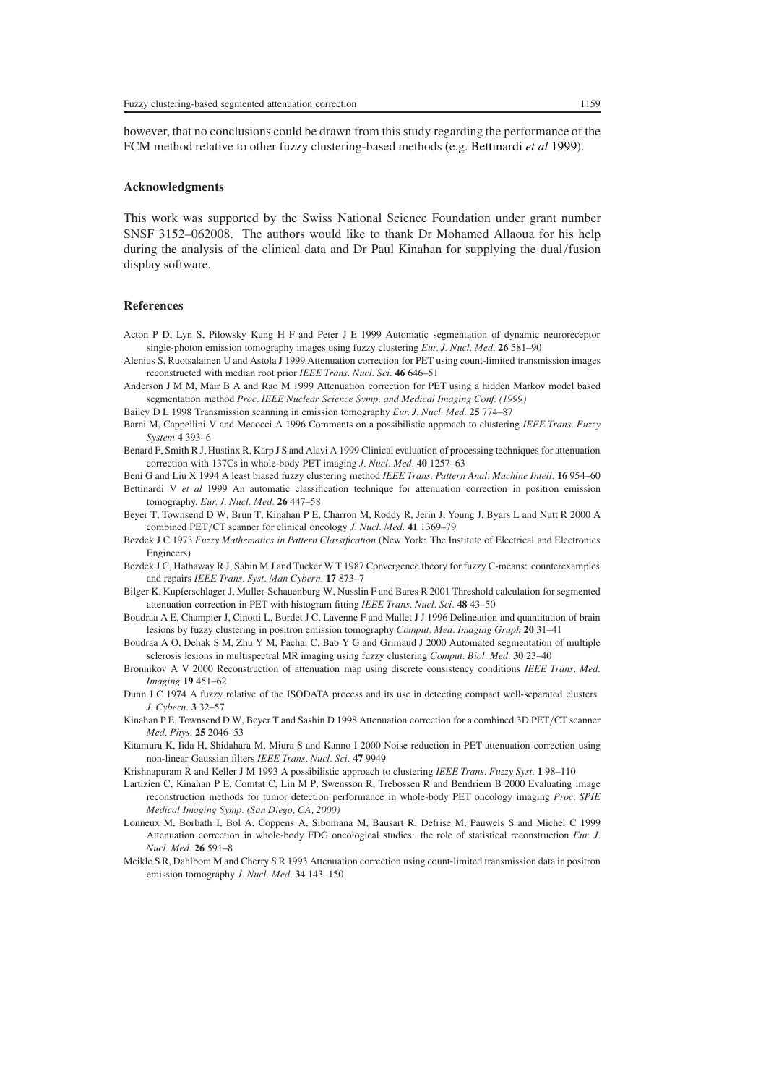however, that no conclusions could be drawn from this study regarding the performance of the FCM method relative to other fuzzy clustering-based methods (e.g. [Bettinardi](#page-16-3) *et al* [1999](#page-16-3)).

#### **Acknowledgments**

This work was supported by the Swiss National Science Foundation under grant number SNSF 3152–062008. The authors would like to thank Dr Mohamed Allaoua for his help during the analysis of the clinical data and Dr Paul Kinahan for supplying the dual*/*fusion display software.

## **References**

- <span id="page-16-5"></span>Acton P D, Lyn S, Pilowsky Kung H F and Peter J E 1999 Automatic segmentation of dynamic neuroreceptor single-photon emission tomography images using fuzzy clustering *Eur. J. Nucl. Med.* **26** 581–90
- <span id="page-16-17"></span>Alenius S, Ruotsalainen U and Astola J 1999 Attenuation correction for PET using count-limited transmission images reconstructed with median root prior *IEEE Trans. Nucl. Sci.* **46** 646–51
- <span id="page-16-1"></span>Anderson J M M, Mair B A and Rao M 1999 Attenuation correction for PET using a hidden Markov model based segmentation method *Proc. IEEE Nuclear Science Symp. and Medical Imaging Conf. (1999)*
- Bailey D L 1998 Transmission scanning in emission tomography *Eur. J. Nucl. Med.* **25** 774–87
- <span id="page-16-11"></span>Barni M, Cappellini V and Mecocci A 1996 Comments on a possibilistic approach to clustering *IEEE Trans. Fuzzy System* **4** 393–6
- <span id="page-16-16"></span>Benard F, Smith R J, Hustinx R, Karp J S and Alavi A 1999 Clinical evaluation of processing techniques for attenuation correction with 137Cs in whole-body PET imaging *J. Nucl. Med.* **40** 1257–63
- <span id="page-16-10"></span><span id="page-16-3"></span>Beni G and Liu X 1994 A least biased fuzzy clustering method *IEEE Trans. Pattern Anal. Machine Intell.* **16** 954–60 Bettinardi V *et al* 1999 An automatic classification technique for attenuation correction in positron emission tomography. *Eur. J. Nucl. Med.* **26** 447–58
- <span id="page-16-14"></span>Beyer T, Townsend D W, Brun T, Kinahan P E, Charron M, Roddy R, Jerin J, Young J, Byars L and Nutt R 2000 A combined PET*/*CT scanner for clinical oncology *J. Nucl. Med.* **41** 1369–79
- <span id="page-16-8"></span>Bezdek J C 1973 *Fuzzy Mathematics in Pattern Classification* (New York: The Institute of Electrical and Electronics Engineers)
- Bezdek J C, Hathaway R J, Sabin M J and Tucker W T 1987 Convergence theory for fuzzy C-means: counterexamples and repairs *IEEE Trans. Syst. Man Cybern.* **17** 873–7
- <span id="page-16-4"></span>Bilger K, Kupferschlager J, Muller-Schauenburg W, Nusslin F and Bares R 2001 Threshold calculation for segmented attenuation correction in PET with histogram fitting *IEEE Trans. Nucl. Sci.* **48** 43–50
- <span id="page-16-6"></span>Boudraa A E, Champier J, Cinotti L, Bordet J C, Lavenne F and Mallet J J 1996 Delineation and quantitation of brain lesions by fuzzy clustering in positron emission tomography *Comput. Med. Imaging Graph* **20** 31–41
- <span id="page-16-12"></span>Boudraa A O, Dehak S M, Zhu Y M, Pachai C, Bao Y G and Grimaud J 2000 Automated segmentation of multiple sclerosis lesions in multispectral MR imaging using fuzzy clustering *Comput. Biol. Med.* **30** 23–40
- <span id="page-16-15"></span>Bronnikov A V 2000 Reconstruction of attenuation map using discrete consistency conditions *IEEE Trans. Med. Imaging* **19** 451–62
- <span id="page-16-7"></span>Dunn J C 1974 A fuzzy relative of the ISODATA process and its use in detecting compact well-separated clusters *J. Cybern.* **3** 32–57
- <span id="page-16-13"></span>Kinahan P E, Townsend D W, Beyer T and Sashin D 1998 Attenuation correction for a combined 3D PET*/*CT scanner *Med. Phys.* **25** 2046–53
- <span id="page-16-18"></span>Kitamura K, Iida H, Shidahara M, Miura S and Kanno I 2000 Noise reduction in PET attenuation correction using non-linear Gaussian filters *IEEE Trans. Nucl. Sci.* **47** 9949
- <span id="page-16-9"></span>Krishnapuram R and Keller J M 1993 A possibilistic approach to clustering *IEEE Trans. Fuzzy Syst.* **1** 98–110
- <span id="page-16-19"></span>Lartizien C, Kinahan P E, Comtat C, Lin M P, Swensson R, Trebossen R and Bendriem B 2000 Evaluating image reconstruction methods for tumor detection performance in whole-body PET oncology imaging *Proc. SPIE Medical Imaging Symp. (San Diego, CA, 2000)*
- <span id="page-16-0"></span>Lonneux M, Borbath I, Bol A, Coppens A, Sibomana M, Bausart R, Defrise M, Pauwels S and Michel C 1999 Attenuation correction in whole-body FDG oncological studies: the role of statistical reconstruction *Eur. J. Nucl. Med.* **26** 591–8
- <span id="page-16-2"></span>Meikle S R, Dahlbom M and Cherry S R 1993 Attenuation correction using count-limited transmission data in positron emission tomography *J. Nucl. Med.* **34** 143–150